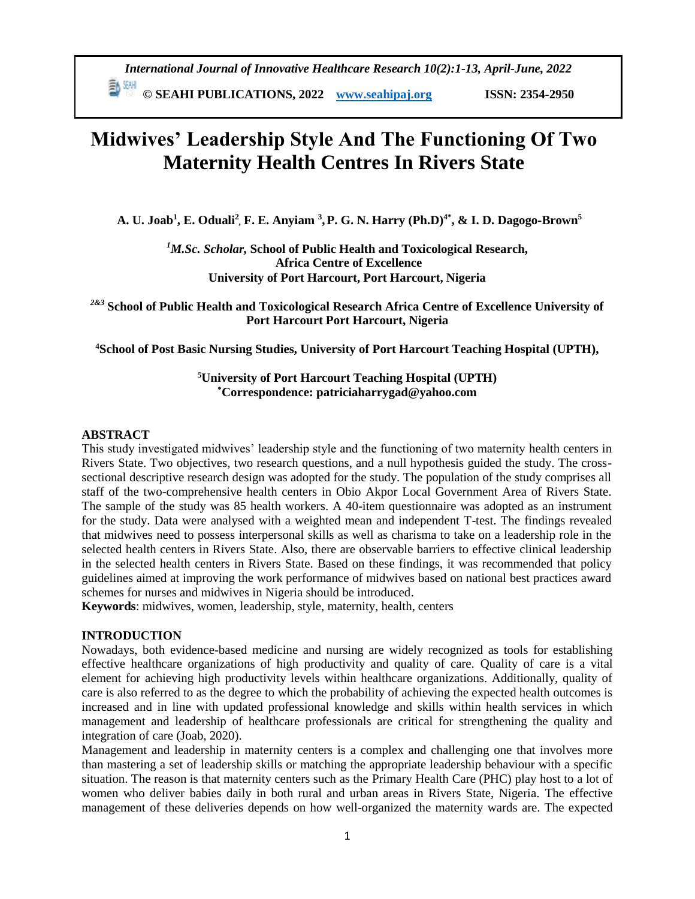*International Journal of Innovative Healthcare Research 10(2):1-13, April-June, 2022*

**E** <sup>844</sup> © SEAHI PUBLICATIONS, 2022 *[www.seahipaj.org](http://www.seahipaj.org/)* **ISSN: 2354-2950** 

# **Midwives' Leadership Style And The Functioning Of Two Maternity Health Centres In Rivers State**

**A. U. Joab<sup>1</sup> , E. Oduali<sup>2</sup> , F. E. Anyiam <sup>3</sup> ,P. G. N. Harry (Ph.D)4\*, & I. D. Dagogo-Brown<sup>5</sup>**

*<sup>1</sup>M.Sc. Scholar,* **School of Public Health and Toxicological Research, Africa Centre of Excellence University of Port Harcourt, Port Harcourt, Nigeria**

*2&3* **School of Public Health and Toxicological Research Africa Centre of Excellence University of Port Harcourt Port Harcourt, Nigeria**

**<sup>4</sup>School of Post Basic Nursing Studies, University of Port Harcourt Teaching Hospital (UPTH),**

# **<sup>5</sup>University of Port Harcourt Teaching Hospital (UPTH) \*Correspondence: patriciaharrygad@yahoo.com**

#### **ABSTRACT**

This study investigated midwives' leadership style and the functioning of two maternity health centers in Rivers State. Two objectives, two research questions, and a null hypothesis guided the study. The crosssectional descriptive research design was adopted for the study. The population of the study comprises all staff of the two-comprehensive health centers in Obio Akpor Local Government Area of Rivers State. The sample of the study was 85 health workers. A 40-item questionnaire was adopted as an instrument for the study. Data were analysed with a weighted mean and independent T-test. The findings revealed that midwives need to possess interpersonal skills as well as charisma to take on a leadership role in the selected health centers in Rivers State. Also, there are observable barriers to effective clinical leadership in the selected health centers in Rivers State. Based on these findings, it was recommended that policy guidelines aimed at improving the work performance of midwives based on national best practices award schemes for nurses and midwives in Nigeria should be introduced.

**Keywords**: midwives, women, leadership, style, maternity, health, centers

#### **INTRODUCTION**

Nowadays, both evidence-based medicine and nursing are widely recognized as tools for establishing effective healthcare organizations of high productivity and quality of care. Quality of care is a vital element for achieving high productivity levels within healthcare organizations. Additionally, quality of care is also referred to as the degree to which the probability of achieving the expected health outcomes is increased and in line with updated professional knowledge and skills within health services in which management and leadership of healthcare professionals are critical for strengthening the quality and integration of care (Joab, 2020).

Management and leadership in maternity centers is a complex and challenging one that involves more than mastering a set of leadership skills or matching the appropriate leadership behaviour with a specific situation. The reason is that maternity centers such as the Primary Health Care (PHC) play host to a lot of women who deliver babies daily in both rural and urban areas in Rivers State, Nigeria. The effective management of these deliveries depends on how well-organized the maternity wards are. The expected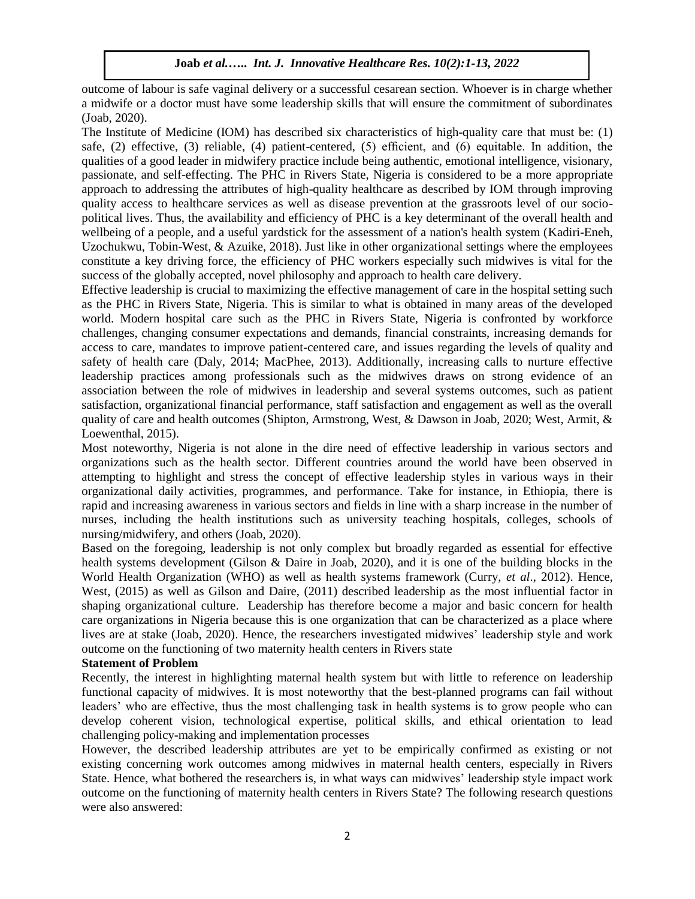outcome of labour is safe vaginal delivery or a successful cesarean section. Whoever is in charge whether a midwife or a doctor must have some leadership skills that will ensure the commitment of subordinates (Joab, 2020).

The Institute of Medicine (IOM) has described six characteristics of high-quality care that must be: (1) safe, (2) effective, (3) reliable, (4) patient-centered, (5) efficient, and (6) equitable. In addition, the qualities of a good leader in midwifery practice include being authentic, emotional intelligence, visionary, passionate, and self-effecting. The PHC in Rivers State, Nigeria is considered to be a more appropriate approach to addressing the attributes of high-quality healthcare as described by IOM through improving quality access to healthcare services as well as disease prevention at the grassroots level of our sociopolitical lives. Thus, the availability and efficiency of PHC is a key determinant of the overall health and wellbeing of a people, and a useful yardstick for the assessment of a nation's health system (Kadiri-Eneh, Uzochukwu, Tobin-West, & Azuike, 2018). Just like in other organizational settings where the employees constitute a key driving force, the efficiency of PHC workers especially such midwives is vital for the success of the globally accepted, novel philosophy and approach to health care delivery.

Effective leadership is crucial to maximizing the effective management of care in the hospital setting such as the PHC in Rivers State, Nigeria. This is similar to what is obtained in many areas of the developed world. Modern hospital care such as the PHC in Rivers State, Nigeria is confronted by workforce challenges, changing consumer expectations and demands, financial constraints, increasing demands for access to care, mandates to improve patient-centered care, and issues regarding the levels of quality and safety of health care (Daly, 2014; MacPhee, 2013). Additionally, increasing calls to nurture effective leadership practices among professionals such as the midwives draws on strong evidence of an association between the role of midwives in leadership and several systems outcomes, such as patient satisfaction, organizational financial performance, staff satisfaction and engagement as well as the overall quality of care and health outcomes (Shipton, Armstrong, West, & Dawson in Joab, 2020; West, Armit, & Loewenthal, 2015).

Most noteworthy, Nigeria is not alone in the dire need of effective leadership in various sectors and organizations such as the health sector. Different countries around the world have been observed in attempting to highlight and stress the concept of effective leadership styles in various ways in their organizational daily activities, programmes, and performance. Take for instance, in Ethiopia, there is rapid and increasing awareness in various sectors and fields in line with a sharp increase in the number of nurses, including the health institutions such as university teaching hospitals, colleges, schools of nursing/midwifery, and others (Joab, 2020).

Based on the foregoing, leadership is not only complex but broadly regarded as essential for effective health systems development (Gilson & Daire in Joab, 2020), and it is one of the building blocks in the World Health Organization (WHO) as well as health systems framework (Curry, *et al*., 2012). Hence, West, (2015) as well as Gilson and Daire, (2011) described leadership as the most influential factor in shaping organizational culture. Leadership has therefore become a major and basic concern for health care organizations in Nigeria because this is one organization that can be characterized as a place where lives are at stake (Joab, 2020). Hence, the researchers investigated midwives' leadership style and work outcome on the functioning of two maternity health centers in Rivers state

## **Statement of Problem**

Recently, the interest in highlighting maternal health system but with little to reference on leadership functional capacity of midwives. It is most noteworthy that the best-planned programs can fail without leaders' who are effective, thus the most challenging task in health systems is to grow people who can develop coherent vision, technological expertise, political skills, and ethical orientation to lead challenging policy-making and implementation processes

However, the described leadership attributes are yet to be empirically confirmed as existing or not existing concerning work outcomes among midwives in maternal health centers, especially in Rivers State. Hence, what bothered the researchers is, in what ways can midwives' leadership style impact work outcome on the functioning of maternity health centers in Rivers State? The following research questions were also answered: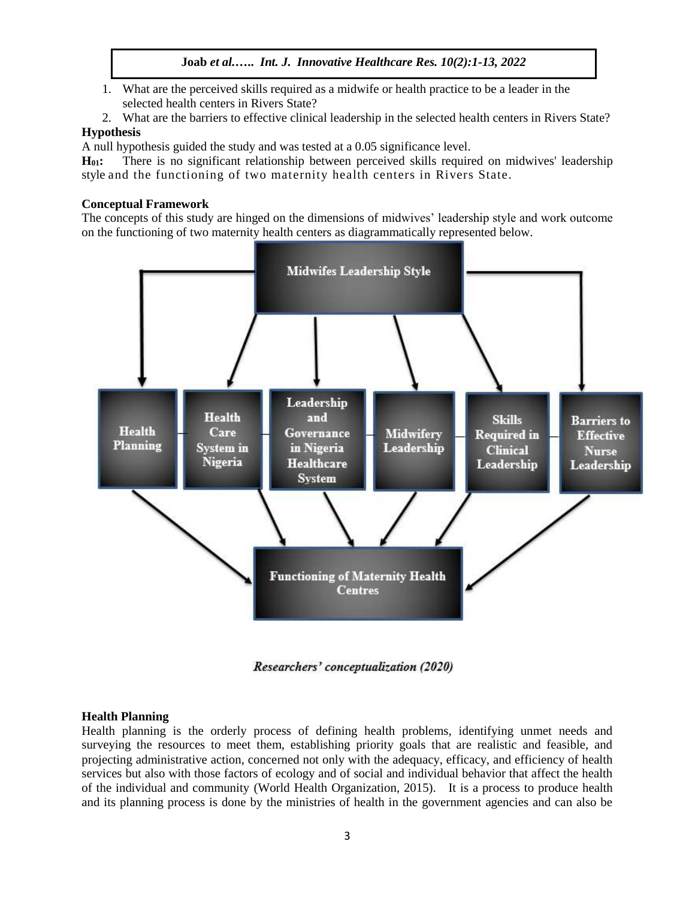- 1. What are the perceived skills required as a midwife or health practice to be a leader in the selected health centers in Rivers State?
- 2. What are the barriers to effective clinical leadership in the selected health centers in Rivers State?

# **Hypothesis**

A null hypothesis guided the study and was tested at a 0.05 significance level.

**H01:** There is no significant relationship between perceived skills required on midwives' leadership style and the functioning of two maternity health centers in Rivers State.

#### **Conceptual Framework**

The concepts of this study are hinged on the dimensions of midwives' leadership style and work outcome on the functioning of two maternity health centers as diagrammatically represented below.



Researchers' conceptualization (2020)

#### **Health Planning**

Health planning is the orderly process of defining health problems, identifying unmet needs and surveying the resources to meet them, establishing priority goals that are realistic and feasible, and projecting administrative action, concerned not only with the adequacy, efficacy, and efficiency of health services but also with those factors of ecology and of social and individual behavior that affect the health of the individual and community (World Health Organization, 2015). It is a process to produce health and its planning process is done by the ministries of health in the government agencies and can also be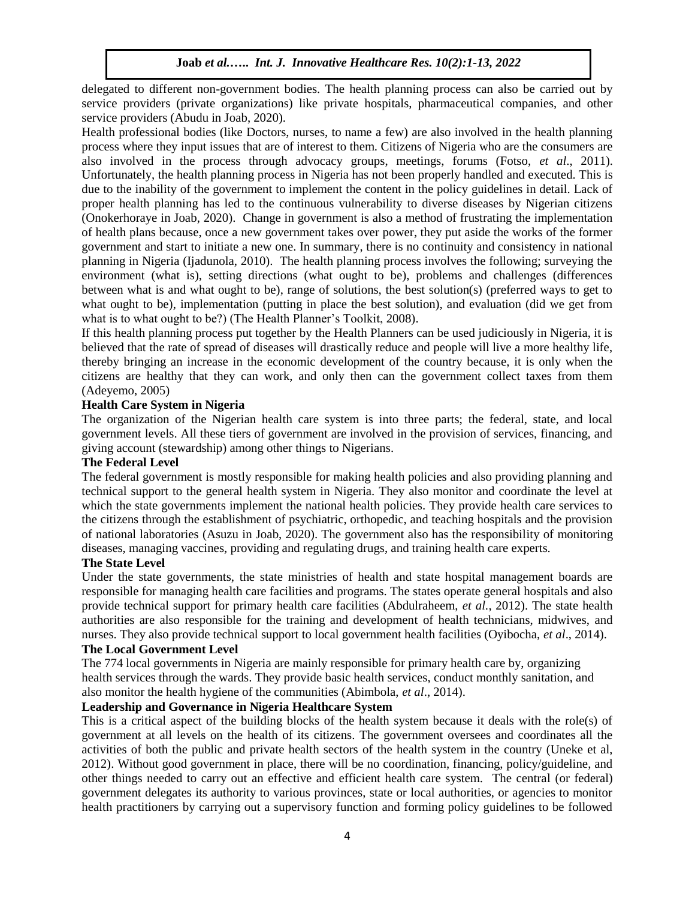delegated to different non-government bodies. The health planning process can also be carried out by service providers (private organizations) like private hospitals, pharmaceutical companies, and other service providers (Abudu in Joab, 2020).

Health professional bodies (like Doctors, nurses, to name a few) are also involved in the health planning process where they input issues that are of interest to them. Citizens of Nigeria who are the consumers are also involved in the process through advocacy groups, meetings, forums (Fotso, *et al*., 2011). Unfortunately, the health planning process in Nigeria has not been properly handled and executed. This is due to the inability of the government to implement the content in the policy guidelines in detail. Lack of proper health planning has led to the continuous vulnerability to diverse diseases by Nigerian citizens (Onokerhoraye in Joab, 2020). Change in government is also a method of frustrating the implementation of health plans because, once a new government takes over power, they put aside the works of the former government and start to initiate a new one. In summary, there is no continuity and consistency in national planning in Nigeria (Ijadunola, 2010). The health planning process involves the following; surveying the environment (what is), setting directions (what ought to be), problems and challenges (differences between what is and what ought to be), range of solutions, the best solution(s) (preferred ways to get to what ought to be), implementation (putting in place the best solution), and evaluation (did we get from what is to what ought to be?) (The Health Planner's Toolkit, 2008).

If this health planning process put together by the Health Planners can be used judiciously in Nigeria, it is believed that the rate of spread of diseases will drastically reduce and people will live a more healthy life, thereby bringing an increase in the economic development of the country because, it is only when the citizens are healthy that they can work, and only then can the government collect taxes from them (Adeyemo, 2005)

#### **Health Care System in Nigeria**

The organization of the Nigerian health care system is into three parts; the federal, state, and local government levels. All these tiers of government are involved in the provision of services, financing, and giving account (stewardship) among other things to Nigerians.

#### **The Federal Level**

The federal government is mostly responsible for making health policies and also providing planning and technical support to the general health system in Nigeria. They also monitor and coordinate the level at which the state governments implement the national health policies. They provide health care services to the citizens through the establishment of psychiatric, orthopedic, and teaching hospitals and the provision of national laboratories (Asuzu in Joab, 2020). The government also has the responsibility of monitoring diseases, managing vaccines, providing and regulating drugs, and training health care experts.

## **The State Level**

Under the state governments, the state ministries of health and state hospital management boards are responsible for managing health care facilities and programs. The states operate general hospitals and also provide technical support for primary health care facilities (Abdulraheem, *et al.*, 2012). The state health authorities are also responsible for the training and development of health technicians, midwives, and nurses. They also provide technical support to local government health facilities (Oyibocha, *et al*., 2014).

## **The Local Government Level**

The 774 local governments in Nigeria are mainly responsible for primary health care by, organizing health services through the wards. They provide basic health services, conduct monthly sanitation, and also monitor the health hygiene of the communities (Abimbola, *et al*., 2014).

## **Leadership and Governance in Nigeria Healthcare System**

This is a critical aspect of the building blocks of the health system because it deals with the role(s) of government at all levels on the health of its citizens. The government oversees and coordinates all the activities of both the public and private health sectors of the health system in the country (Uneke et al, 2012). Without good government in place, there will be no coordination, financing, policy/guideline, and other things needed to carry out an effective and efficient health care system. The central (or federal) government delegates its authority to various provinces, state or local authorities, or agencies to monitor health practitioners by carrying out a supervisory function and forming policy guidelines to be followed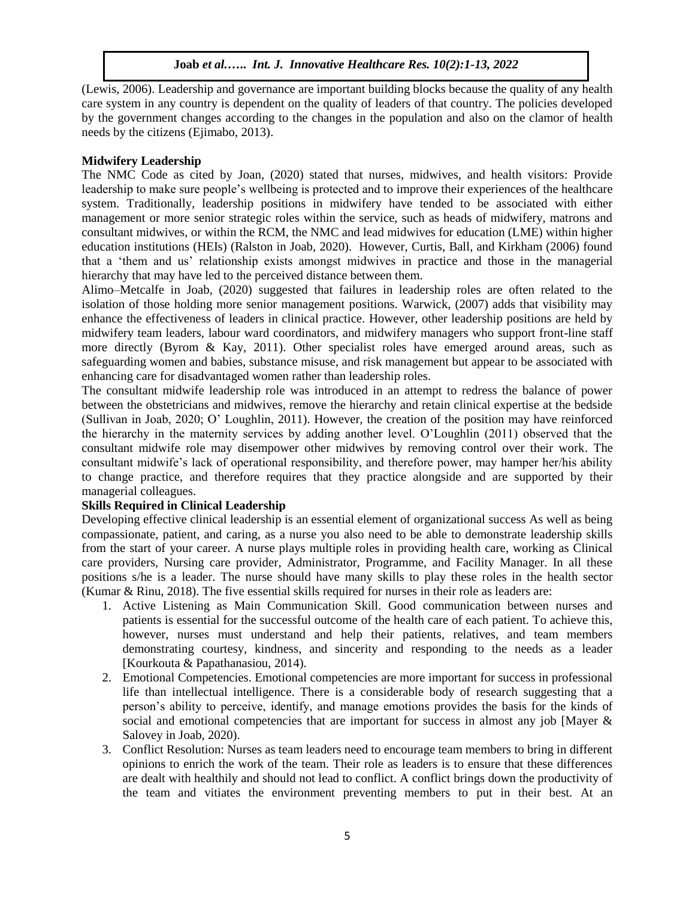(Lewis, 2006). Leadership and governance are important building blocks because the quality of any health care system in any country is dependent on the quality of leaders of that country. The policies developed by the government changes according to the changes in the population and also on the clamor of health needs by the citizens (Ejimabo, 2013).

#### **Midwifery Leadership**

The NMC Code as cited by Joan, (2020) stated that nurses, midwives, and health visitors: Provide leadership to make sure people's wellbeing is protected and to improve their experiences of the healthcare system. Traditionally, leadership positions in midwifery have tended to be associated with either management or more senior strategic roles within the service, such as heads of midwifery, matrons and consultant midwives, or within the RCM, the NMC and lead midwives for education (LME) within higher education institutions (HEIs) (Ralston in Joab, 2020). However, Curtis, Ball, and Kirkham (2006) found that a 'them and us' relationship exists amongst midwives in practice and those in the managerial hierarchy that may have led to the perceived distance between them.

Alimo–Metcalfe in Joab, (2020) suggested that failures in leadership roles are often related to the isolation of those holding more senior management positions. Warwick, (2007) adds that visibility may enhance the effectiveness of leaders in clinical practice. However, other leadership positions are held by midwifery team leaders, labour ward coordinators, and midwifery managers who support front-line staff more directly (Byrom & Kay, 2011). Other specialist roles have emerged around areas, such as safeguarding women and babies, substance misuse, and risk management but appear to be associated with enhancing care for disadvantaged women rather than leadership roles.

The consultant midwife leadership role was introduced in an attempt to redress the balance of power between the obstetricians and midwives, remove the hierarchy and retain clinical expertise at the bedside (Sullivan in Joab, 2020; O' Loughlin, 2011). However, the creation of the position may have reinforced the hierarchy in the maternity services by adding another level. O'Loughlin (2011) observed that the consultant midwife role may disempower other midwives by removing control over their work. The consultant midwife's lack of operational responsibility, and therefore power, may hamper her/his ability to change practice, and therefore requires that they practice alongside and are supported by their managerial colleagues.

# **Skills Required in Clinical Leadership**

Developing effective clinical leadership is an essential element of organizational success As well as being compassionate, patient, and caring, as a nurse you also need to be able to demonstrate leadership skills from the start of your career. A nurse plays multiple roles in providing health care, working as Clinical care providers, Nursing care provider, Administrator, Programme, and Facility Manager. In all these positions s/he is a leader. The nurse should have many skills to play these roles in the health sector (Kumar & Rinu, 2018). The five essential skills required for nurses in their role as leaders are:

- 1. Active Listening as Main Communication Skill. Good communication between nurses and patients is essential for the successful outcome of the health care of each patient. To achieve this, however, nurses must understand and help their patients, relatives, and team members demonstrating courtesy, kindness, and sincerity and responding to the needs as a leader [Kourkouta & Papathanasiou, 2014).
- 2. Emotional Competencies. Emotional competencies are more important for success in professional life than intellectual intelligence. There is a considerable body of research suggesting that a person's ability to perceive, identify, and manage emotions provides the basis for the kinds of social and emotional competencies that are important for success in almost any job [Mayer & Salovey in Joab, 2020).
- 3. Conflict Resolution: Nurses as team leaders need to encourage team members to bring in different opinions to enrich the work of the team. Their role as leaders is to ensure that these differences are dealt with healthily and should not lead to conflict. A conflict brings down the productivity of the team and vitiates the environment preventing members to put in their best. At an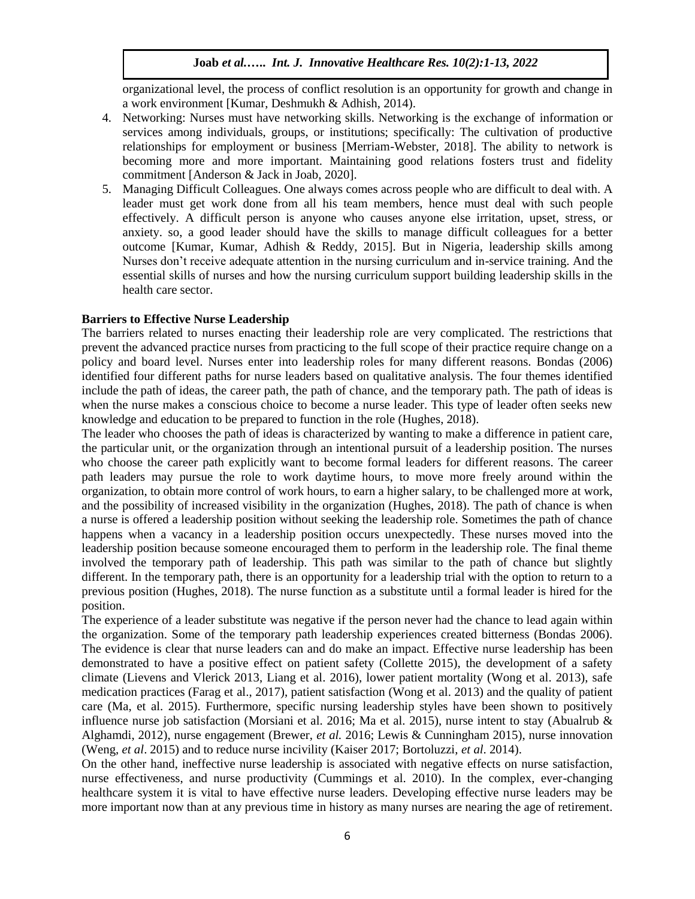organizational level, the process of conflict resolution is an opportunity for growth and change in a work environment [Kumar, Deshmukh & Adhish, 2014).

- 4. Networking: Nurses must have networking skills. Networking is the exchange of information or services among individuals, groups, or institutions; specifically: The cultivation of productive relationships for employment or business [Merriam-Webster, 2018]. The ability to network is becoming more and more important. Maintaining good relations fosters trust and fidelity commitment [Anderson & Jack in Joab, 2020].
- 5. Managing Difficult Colleagues. One always comes across people who are difficult to deal with. A leader must get work done from all his team members, hence must deal with such people effectively. A difficult person is anyone who causes anyone else irritation, upset, stress, or anxiety. so, a good leader should have the skills to manage difficult colleagues for a better outcome [Kumar, Kumar, Adhish & Reddy, 2015]. But in Nigeria, leadership skills among Nurses don't receive adequate attention in the nursing curriculum and in-service training. And the essential skills of nurses and how the nursing curriculum support building leadership skills in the health care sector.

#### **Barriers to Effective Nurse Leadership**

The barriers related to nurses enacting their leadership role are very complicated. The restrictions that prevent the advanced practice nurses from practicing to the full scope of their practice require change on a policy and board level. Nurses enter into leadership roles for many different reasons. Bondas (2006) identified four different paths for nurse leaders based on qualitative analysis. The four themes identified include the path of ideas, the career path, the path of chance, and the temporary path. The path of ideas is when the nurse makes a conscious choice to become a nurse leader. This type of leader often seeks new knowledge and education to be prepared to function in the role (Hughes, 2018).

The leader who chooses the path of ideas is characterized by wanting to make a difference in patient care, the particular unit, or the organization through an intentional pursuit of a leadership position. The nurses who choose the career path explicitly want to become formal leaders for different reasons. The career path leaders may pursue the role to work daytime hours, to move more freely around within the organization, to obtain more control of work hours, to earn a higher salary, to be challenged more at work, and the possibility of increased visibility in the organization (Hughes, 2018). The path of chance is when a nurse is offered a leadership position without seeking the leadership role. Sometimes the path of chance happens when a vacancy in a leadership position occurs unexpectedly. These nurses moved into the leadership position because someone encouraged them to perform in the leadership role. The final theme involved the temporary path of leadership. This path was similar to the path of chance but slightly different. In the temporary path, there is an opportunity for a leadership trial with the option to return to a previous position (Hughes, 2018). The nurse function as a substitute until a formal leader is hired for the position.

The experience of a leader substitute was negative if the person never had the chance to lead again within the organization. Some of the temporary path leadership experiences created bitterness (Bondas 2006). The evidence is clear that nurse leaders can and do make an impact. Effective nurse leadership has been demonstrated to have a positive effect on patient safety (Collette 2015), the development of a safety climate (Lievens and Vlerick 2013, Liang et al. 2016), lower patient mortality (Wong et al. 2013), safe medication practices (Farag et al., 2017), patient satisfaction (Wong et al. 2013) and the quality of patient care (Ma, et al. 2015). Furthermore, specific nursing leadership styles have been shown to positively influence nurse job satisfaction (Morsiani et al. 2016; Ma et al. 2015), nurse intent to stay (Abualrub & Alghamdi, 2012), nurse engagement (Brewer, *et al.* 2016; Lewis & Cunningham 2015), nurse innovation (Weng, *et al*. 2015) and to reduce nurse incivility (Kaiser 2017; Bortoluzzi, *et al*. 2014).

On the other hand, ineffective nurse leadership is associated with negative effects on nurse satisfaction, nurse effectiveness, and nurse productivity (Cummings et al. 2010). In the complex, ever-changing healthcare system it is vital to have effective nurse leaders. Developing effective nurse leaders may be more important now than at any previous time in history as many nurses are nearing the age of retirement.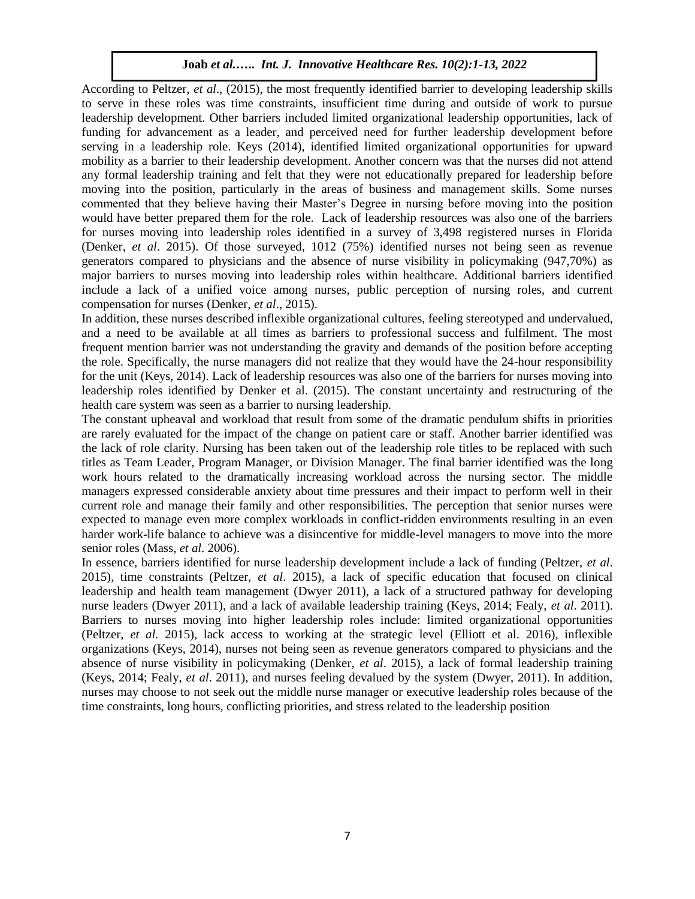According to Peltzer, *et al*., (2015), the most frequently identified barrier to developing leadership skills to serve in these roles was time constraints, insufficient time during and outside of work to pursue leadership development. Other barriers included limited organizational leadership opportunities, lack of funding for advancement as a leader, and perceived need for further leadership development before serving in a leadership role. Keys (2014), identified limited organizational opportunities for upward mobility as a barrier to their leadership development. Another concern was that the nurses did not attend any formal leadership training and felt that they were not educationally prepared for leadership before moving into the position, particularly in the areas of business and management skills. Some nurses commented that they believe having their Master's Degree in nursing before moving into the position would have better prepared them for the role. Lack of leadership resources was also one of the barriers for nurses moving into leadership roles identified in a survey of 3,498 registered nurses in Florida (Denker, *et al*. 2015). Of those surveyed, 1012 (75%) identified nurses not being seen as revenue generators compared to physicians and the absence of nurse visibility in policymaking (947,70%) as major barriers to nurses moving into leadership roles within healthcare. Additional barriers identified include a lack of a unified voice among nurses, public perception of nursing roles, and current compensation for nurses (Denker, *et al*., 2015).

In addition, these nurses described inflexible organizational cultures, feeling stereotyped and undervalued, and a need to be available at all times as barriers to professional success and fulfilment. The most frequent mention barrier was not understanding the gravity and demands of the position before accepting the role. Specifically, the nurse managers did not realize that they would have the 24-hour responsibility for the unit (Keys, 2014). Lack of leadership resources was also one of the barriers for nurses moving into leadership roles identified by Denker et al. (2015). The constant uncertainty and restructuring of the health care system was seen as a barrier to nursing leadership.

The constant upheaval and workload that result from some of the dramatic pendulum shifts in priorities are rarely evaluated for the impact of the change on patient care or staff. Another barrier identified was the lack of role clarity. Nursing has been taken out of the leadership role titles to be replaced with such titles as Team Leader, Program Manager, or Division Manager. The final barrier identified was the long work hours related to the dramatically increasing workload across the nursing sector. The middle managers expressed considerable anxiety about time pressures and their impact to perform well in their current role and manage their family and other responsibilities. The perception that senior nurses were expected to manage even more complex workloads in conflict-ridden environments resulting in an even harder work-life balance to achieve was a disincentive for middle-level managers to move into the more senior roles (Mass, *et al*. 2006).

In essence, barriers identified for nurse leadership development include a lack of funding (Peltzer, *et al*. 2015), time constraints (Peltzer, *et al*. 2015), a lack of specific education that focused on clinical leadership and health team management (Dwyer 2011), a lack of a structured pathway for developing nurse leaders (Dwyer 2011), and a lack of available leadership training (Keys, 2014; Fealy, *et al*. 2011). Barriers to nurses moving into higher leadership roles include: limited organizational opportunities (Peltzer, *et al.* 2015), lack access to working at the strategic level (Elliott et al. 2016), inflexible organizations (Keys, 2014), nurses not being seen as revenue generators compared to physicians and the absence of nurse visibility in policymaking (Denker, *et al*. 2015), a lack of formal leadership training (Keys, 2014; Fealy, *et al*. 2011), and nurses feeling devalued by the system (Dwyer, 2011). In addition, nurses may choose to not seek out the middle nurse manager or executive leadership roles because of the time constraints, long hours, conflicting priorities, and stress related to the leadership position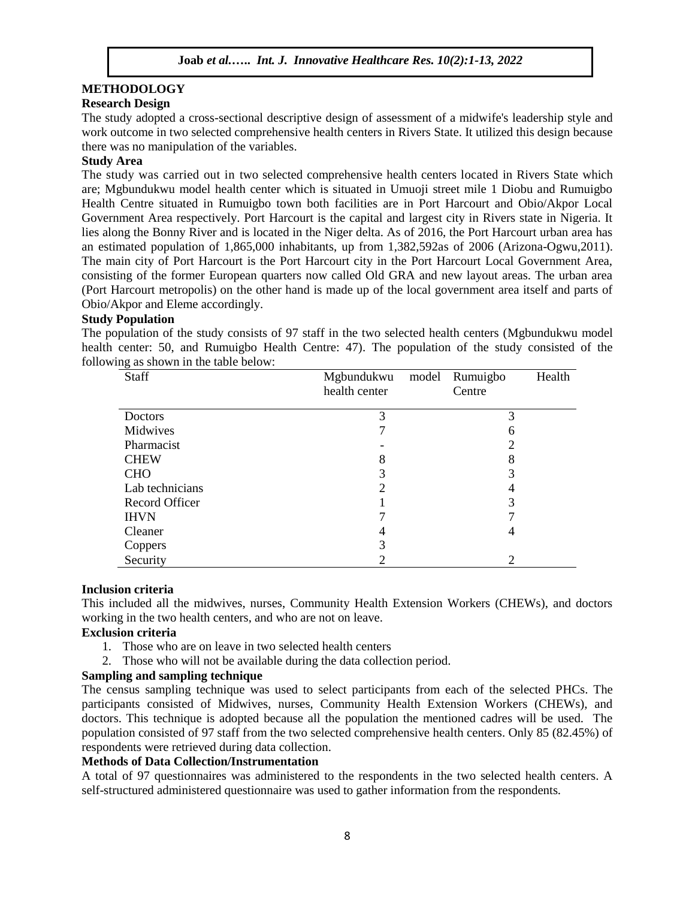## **METHODOLOGY Research Design**

The study adopted a cross-sectional descriptive design of assessment of a midwife's leadership style and work outcome in two selected comprehensive health centers in Rivers State. It utilized this design because there was no manipulation of the variables.

# **Study Area**

The study was carried out in two selected comprehensive health centers located in Rivers State which are; Mgbundukwu model health center which is situated in Umuoji street mile 1 Diobu and Rumuigbo Health Centre situated in Rumuigbo town both facilities are in Port Harcourt and Obio/Akpor Local Government Area respectively. Port Harcourt is the capital and largest city in Rivers state in Nigeria. It lies along the Bonny River and is located in the Niger delta. As of 2016, the Port Harcourt urban area has an estimated population of 1,865,000 inhabitants, up from 1,382,592as of 2006 (Arizona-Ogwu,2011). The main city of Port Harcourt is the Port Harcourt city in the Port Harcourt Local Government Area, consisting of the former European quarters now called Old GRA and new layout areas. The urban area (Port Harcourt metropolis) on the other hand is made up of the local government area itself and parts of Obio/Akpor and Eleme accordingly.

# **Study Population**

The population of the study consists of 97 staff in the two selected health centers (Mgbundukwu model health center: 50, and Rumuigbo Health Centre: 47). The population of the study consisted of the following as shown in the table below:

| Staff           | Mgbundukwu    | model | Rumuigbo | Health |
|-----------------|---------------|-------|----------|--------|
|                 | health center |       | Centre   |        |
|                 |               |       |          |        |
| Doctors         | 3             |       | 3        |        |
| Midwives        |               |       | 6        |        |
| Pharmacist      |               |       | 2        |        |
| <b>CHEW</b>     | 8             |       | 8        |        |
| <b>CHO</b>      | 3             |       | 3        |        |
| Lab technicians | ∍             |       |          |        |
| Record Officer  |               |       | 3        |        |
| <b>IHVN</b>     |               |       |          |        |
| Cleaner         |               |       | 4        |        |
| Coppers         |               |       |          |        |
| Security        |               |       | 2        |        |

## **Inclusion criteria**

This included all the midwives, nurses, Community Health Extension Workers (CHEWs), and doctors working in the two health centers, and who are not on leave.

# **Exclusion criteria**

- 1. Those who are on leave in two selected health centers
- 2. Those who will not be available during the data collection period.

# **Sampling and sampling technique**

The census sampling technique was used to select participants from each of the selected PHCs. The participants consisted of Midwives, nurses, Community Health Extension Workers (CHEWs), and doctors. This technique is adopted because all the population the mentioned cadres will be used. The population consisted of 97 staff from the two selected comprehensive health centers. Only 85 (82.45%) of respondents were retrieved during data collection.

# **Methods of Data Collection/Instrumentation**

A total of 97 questionnaires was administered to the respondents in the two selected health centers. A self-structured administered questionnaire was used to gather information from the respondents.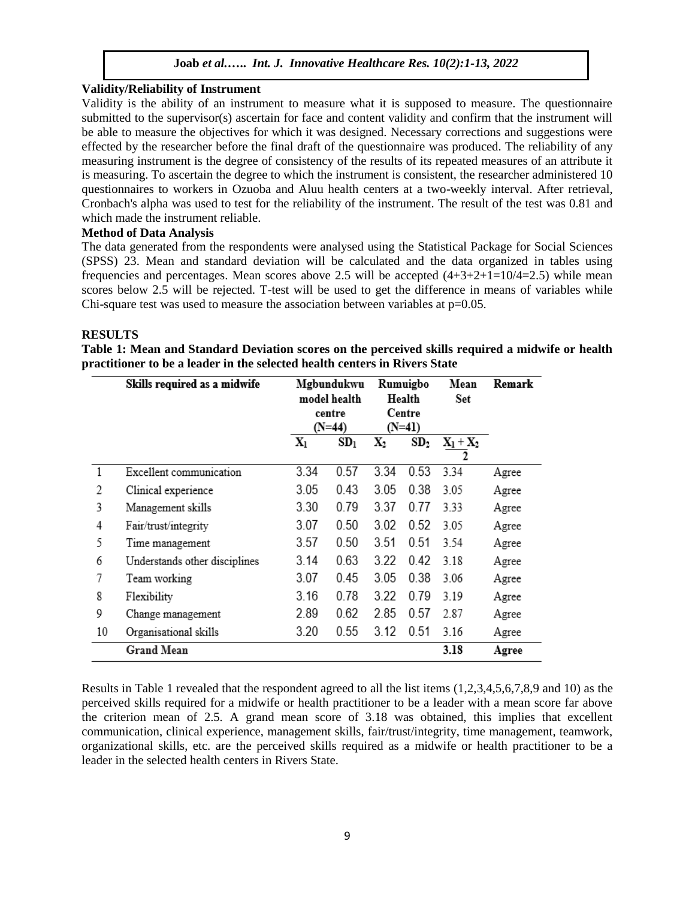#### **Validity/Reliability of Instrument**

Validity is the ability of an instrument to measure what it is supposed to measure. The questionnaire submitted to the supervisor(s) ascertain for face and content validity and confirm that the instrument will be able to measure the objectives for which it was designed. Necessary corrections and suggestions were effected by the researcher before the final draft of the questionnaire was produced. The reliability of any measuring instrument is the degree of consistency of the results of its repeated measures of an attribute it is measuring. To ascertain the degree to which the instrument is consistent, the researcher administered 10 questionnaires to workers in Ozuoba and Aluu health centers at a two-weekly interval. After retrieval, Cronbach's alpha was used to test for the reliability of the instrument. The result of the test was 0.81 and which made the instrument reliable.

#### **Method of Data Analysis**

The data generated from the respondents were analysed using the Statistical Package for Social Sciences (SPSS) 23. Mean and standard deviation will be calculated and the data organized in tables using frequencies and percentages. Mean scores above 2.5 will be accepted  $(4+3+2+1=10/4=2.5)$  while mean scores below 2.5 will be rejected. T-test will be used to get the difference in means of variables while Chi-square test was used to measure the association between variables at  $p=0.05$ .

#### **RESULTS**

**Table 1: Mean and Standard Deviation scores on the perceived skills required a midwife or health practitioner to be a leader in the selected health centers in Rivers State**

|    | Skills required as a midwife  | Mgbundukwu<br>model health |                 | Rumuigbo<br>Health |                 | Mean<br>Set    | Remark |
|----|-------------------------------|----------------------------|-----------------|--------------------|-----------------|----------------|--------|
|    |                               | centre<br>$(N=44)$         |                 | Centre<br>(N=41)   |                 |                |        |
|    |                               | $X_1$                      | SD <sub>1</sub> | $\mathrm{X}_2$     | SD <sub>2</sub> | $X_1+X_2$<br>2 |        |
| 1  | Excellent communication       | 3.34                       | 0.57            | 3.34               | 0.53            | 3.34           | Agree  |
| 2  | Clinical experience           | 3.05                       | 0.43            | 3.05               | 0.38            | 3.05           | Agree  |
| 3  | Management skills             | 3.30                       | 0.79            | 3.37               | 0.77            | 3.33           | Agree  |
| 4  | Fair/trust/integrity          | 3.07                       | 0.50            | 3.02               | 0.52            | 3.05           | Agree  |
| 5  | Time management               | 3.57                       | 0.50            | 3.51               | 0.51            | 3.54           | Agree  |
| 6  | Understands other disciplines | 3.14                       | 0.63            | 3.22               | 0.42            | 3.18           | Agree  |
| 7  | Team working                  | 3.07                       | 0.45            | 3.05               | 0.38            | 3.06           | Agree  |
| 8  | Flexibility                   | 3.16                       | 0.78            | 3.22               | 0.79            | 3.19           | Agree  |
| 9  | Change management             | 2.89                       | 0.62            | 2.85               | 0.57            | 2.87           | Agree  |
| 10 | Organisational skills         | 3.20                       | 0.55            | 3.12               | 0.51            | 3.16           | Agree  |
|    | <b>Grand Mean</b>             |                            |                 |                    |                 | 3.18           | Agree  |

Results in Table 1 revealed that the respondent agreed to all the list items (1,2,3,4,5,6,7,8,9 and 10) as the perceived skills required for a midwife or health practitioner to be a leader with a mean score far above the criterion mean of 2.5. A grand mean score of 3.18 was obtained, this implies that excellent communication, clinical experience, management skills, fair/trust/integrity, time management, teamwork, organizational skills, etc. are the perceived skills required as a midwife or health practitioner to be a leader in the selected health centers in Rivers State.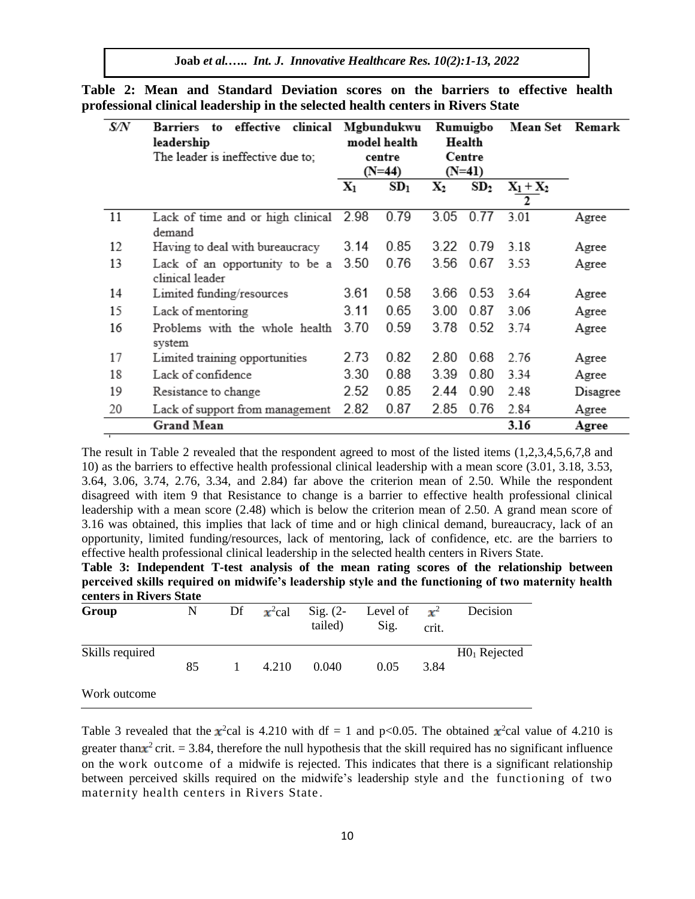| S/N | effective<br>clinical<br>Barriers<br>to<br>leadership |                  | Mgbundukwu<br>model health | Rumuigbo<br>Health |                 | <b>Mean Set</b> | Remark   |  |
|-----|-------------------------------------------------------|------------------|----------------------------|--------------------|-----------------|-----------------|----------|--|
|     | The leader is ineffective due to;                     | centre<br>(N=44) |                            | Centre<br>(N=41)   |                 |                 |          |  |
|     |                                                       | $\mathbf{X}_1$   | SD <sub>1</sub>            | $\mathbf{X}_2$     | SD <sub>2</sub> | $X_1+X_2$<br>2  |          |  |
| 11  | Lack of time and or high clinical 2.98<br>demand      |                  | 0.79                       | 3.05               | 0.77            | 3.01            | Agree    |  |
| 12  | Having to deal with bureaucracy                       | 3.14             | 0.85                       | 3.22               | 0.79            | 3.18            | Agree    |  |
| 13  | Lack of an opportunity to be a<br>clinical leader     | 3.50             | 0.76                       | 3.56               | 0.67            | 3.53            | Agree    |  |
| 14  | Limited funding/resources                             | 3.61             | 0.58                       | 3.66               | 0.53            | 3.64            | Agree    |  |
| 15  | Lack of mentoring                                     | 3.11             | 0.65                       | 3.00               | 0.87            | 3.06            | Agree    |  |
| 16  | Problems with the whole health<br>system              | 3.70             | 0.59                       | 3.78               | 0.52            | 3.74            | Agree    |  |
| 17  | Limited training opportunities                        | 2.73             | 0.82                       | 2.80               | 0.68            | 2.76            | Agree    |  |
| 18  | Lack of confidence                                    | 3.30             | 0.88                       | 3.39               | 0.80            | 3.34            | Agree    |  |
| 19  | Resistance to change                                  | 2.52             | 0.85                       | 2.44               | 0.90            | 2.48            | Disagree |  |
| 20  | Lack of support from management                       | 2.82             | 0.87                       | 2.85               | 0.76            | 2.84            | Agree    |  |
|     | <b>Grand Mean</b>                                     |                  |                            |                    |                 | 3.16            | Agree    |  |

**Table 2: Mean and Standard Deviation scores on the barriers to effective health professional clinical leadership in the selected health centers in Rivers State**

The result in Table 2 revealed that the respondent agreed to most of the listed items (1,2,3,4,5,6,7,8 and 10) as the barriers to effective health professional clinical leadership with a mean score (3.01, 3.18, 3.53, 3.64, 3.06, 3.74, 2.76, 3.34, and 2.84) far above the criterion mean of 2.50. While the respondent disagreed with item 9 that Resistance to change is a barrier to effective health professional clinical leadership with a mean score (2.48) which is below the criterion mean of 2.50. A grand mean score of 3.16 was obtained, this implies that lack of time and or high clinical demand, bureaucracy, lack of an opportunity, limited funding/resources, lack of mentoring, lack of confidence, etc. are the barriers to effective health professional clinical leadership in the selected health centers in Rivers State.

**Table 3: Independent T-test analysis of the mean rating scores of the relationship between perceived skills required on midwife's leadership style and the functioning of two maternity health centers in Rivers State**

| Group           | N  | Df | $x^2$ cal | $\text{Sig.}$ (2-<br>tailed) | Level of<br>Sig. | $\mathbf{x}^2$<br>crit. | Decision       |
|-----------------|----|----|-----------|------------------------------|------------------|-------------------------|----------------|
| Skills required | 85 |    | 4.210     | 0.040                        | 0.05             | 3.84                    | $H01$ Rejected |
| Work outcome    |    |    |           |                              |                  |                         |                |

Table 3 revealed that the  $x^2$ cal is 4.210 with df = 1 and p<0.05. The obtained  $x^2$ cal value of 4.210 is greater than  $x^2$  crit. = 3.84, therefore the null hypothesis that the skill required has no significant influence on the work outcome of a midwife is rejected. This indicates that there is a significant relationship between perceived skills required on the midwife's leadership style and the functioning of two maternity health centers in Rivers State .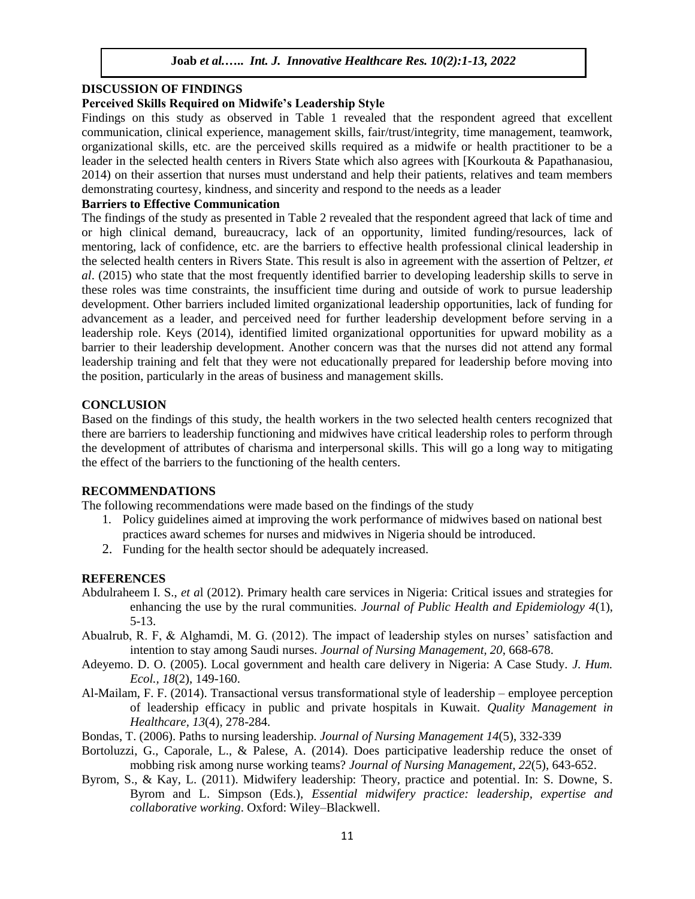# **DISCUSSION OF FINDINGS**

## **Perceived Skills Required on Midwife's Leadership Style**

Findings on this study as observed in Table 1 revealed that the respondent agreed that excellent communication, clinical experience, management skills, fair/trust/integrity, time management, teamwork, organizational skills, etc. are the perceived skills required as a midwife or health practitioner to be a leader in the selected health centers in Rivers State which also agrees with [Kourkouta & Papathanasiou, 2014) on their assertion that nurses must understand and help their patients, relatives and team members demonstrating courtesy, kindness, and sincerity and respond to the needs as a leader

# **Barriers to Effective Communication**

The findings of the study as presented in Table 2 revealed that the respondent agreed that lack of time and or high clinical demand, bureaucracy, lack of an opportunity, limited funding/resources, lack of mentoring, lack of confidence, etc. are the barriers to effective health professional clinical leadership in the selected health centers in Rivers State. This result is also in agreement with the assertion of Peltzer, *et al*. (2015) who state that the most frequently identified barrier to developing leadership skills to serve in these roles was time constraints, the insufficient time during and outside of work to pursue leadership development. Other barriers included limited organizational leadership opportunities, lack of funding for advancement as a leader, and perceived need for further leadership development before serving in a leadership role. Keys (2014), identified limited organizational opportunities for upward mobility as a barrier to their leadership development. Another concern was that the nurses did not attend any formal leadership training and felt that they were not educationally prepared for leadership before moving into the position, particularly in the areas of business and management skills.

#### **CONCLUSION**

Based on the findings of this study, the health workers in the two selected health centers recognized that there are barriers to leadership functioning and midwives have critical leadership roles to perform through the development of attributes of charisma and interpersonal skills. This will go a long way to mitigating the effect of the barriers to the functioning of the health centers.

#### **RECOMMENDATIONS**

The following recommendations were made based on the findings of the study

- 1. Policy guidelines aimed at improving the work performance of midwives based on national best practices award schemes for nurses and midwives in Nigeria should be introduced.
- 2. Funding for the health sector should be adequately increased.

## **REFERENCES**

- Abdulraheem I. S., *et a*l (2012). Primary health care services in Nigeria: Critical issues and strategies for enhancing the use by the rural communities. *Journal of Public Health and Epidemiology 4*(1), 5-13.
- Abualrub, R. F, & Alghamdi, M. G. (2012). The impact of leadership styles on nurses' satisfaction and intention to stay among Saudi nurses. *Journal of Nursing Management, 20*, 668-678.
- Adeyemo. D. O. (2005). Local government and health care delivery in Nigeria: A Case Study. *J. Hum. Ecol., 18*(2), 149-160.
- Al-Mailam, F. F. (2014). Transactional versus transformational style of leadership employee perception of leadership efficacy in public and private hospitals in Kuwait. *Quality Management in Healthcare, 13*(4), 278-284.
- Bondas, T. (2006). Paths to nursing leadership. *Journal of Nursing Management 14*(5), 332-339
- Bortoluzzi, G., Caporale, L., & Palese, A. (2014). Does participative leadership reduce the onset of mobbing risk among nurse working teams? *Journal of Nursing Management, 22*(5), 643-652.
- Byrom, S., & Kay, L. (2011). Midwifery leadership: Theory, practice and potential. In: S. Downe, S. Byrom and L. Simpson (Eds.), *Essential midwifery practice: leadership, expertise and collaborative working*. Oxford: Wiley–Blackwell.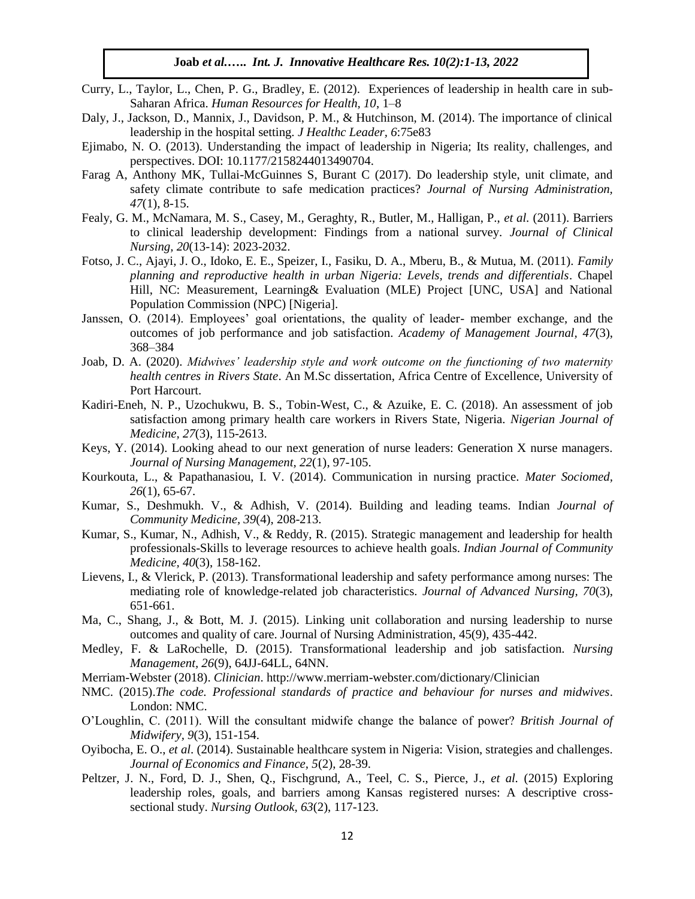- Curry, L., Taylor, L., Chen, P. G., Bradley, E. (2012). Experiences of leadership in health care in sub-Saharan Africa. *Human Resources for Health, 10*, 1–8
- Daly, J., Jackson, D., Mannix, J., Davidson, P. M., & Hutchinson, M. (2014). The importance of clinical leadership in the hospital setting. *J Healthc Leader, 6*:75e83
- Ejimabo, N. O. (2013). Understanding the impact of leadership in Nigeria; Its reality, challenges, and perspectives. DOI: 10.1177/2158244013490704.
- Farag A, Anthony MK, Tullai-McGuinnes S, Burant C (2017). Do leadership style, unit climate, and safety climate contribute to safe medication practices? *Journal of Nursing Administration, 47*(1), 8-15.
- Fealy, G. M., McNamara, M. S., Casey, M., Geraghty, R., Butler, M., Halligan, P., *et al.* (2011). Barriers to clinical leadership development: Findings from a national survey. *Journal of Clinical Nursing, 20*(13-14): 2023-2032.
- Fotso, J. C., Ajayi, J. O., Idoko, E. E., Speizer, I., Fasiku, D. A., Mberu, B., & Mutua, M. (2011). *Family planning and reproductive health in urban Nigeria: Levels, trends and differentials*. Chapel Hill, NC: Measurement, Learning& Evaluation (MLE) Project [UNC, USA] and National Population Commission (NPC) [Nigeria].
- Janssen, O. (2014). Employees' goal orientations, the quality of leader- member exchange, and the outcomes of job performance and job satisfaction. *Academy of Management Journal, 47*(3), 368–384
- Joab, D. A. (2020). *Midwives' leadership style and work outcome on the functioning of two maternity health centres in Rivers State*. An M.Sc dissertation, Africa Centre of Excellence, University of Port Harcourt.
- Kadiri-Eneh, N. P., Uzochukwu, B. S., Tobin-West, C., & Azuike, E. C. (2018). An assessment of job satisfaction among primary health care workers in Rivers State, Nigeria. *Nigerian Journal of Medicine, 27*(3), 115-2613.
- Keys, Y. (2014). Looking ahead to our next generation of nurse leaders: Generation X nurse managers. *Journal of Nursing Management, 22*(1), 97-105.
- Kourkouta, L., & Papathanasiou, I. V. (2014). Communication in nursing practice. *Mater Sociomed, 26*(1), 65-67.
- Kumar, S., Deshmukh. V., & Adhish, V. (2014). Building and leading teams. Indian *Journal of Community Medicine, 39*(4), 208-213.
- Kumar, S., Kumar, N., Adhish, V., & Reddy, R. (2015). Strategic management and leadership for health professionals-Skills to leverage resources to achieve health goals. *Indian Journal of Community Medicine, 40*(3), 158-162.
- Lievens, I., & Vlerick, P. (2013). Transformational leadership and safety performance among nurses: The mediating role of knowledge-related job characteristics. *Journal of Advanced Nursing, 70*(3), 651-661.
- Ma, C., Shang, J., & Bott, M. J. (2015). Linking unit collaboration and nursing leadership to nurse outcomes and quality of care. Journal of Nursing Administration, 45(9), 435-442.
- Medley, F. & LaRochelle, D. (2015). Transformational leadership and job satisfaction. *Nursing Management, 26*(9), 64JJ-64LL, 64NN.
- Merriam-Webster (2018). *Clinician*.<http://www.merriam-webster.com/dictionary/Clinician>
- NMC. (2015).*The code. Professional standards of practice and behaviour for nurses and midwives*. London: NMC.
- O'Loughlin, C. (2011). Will the consultant midwife change the balance of power? *British Journal of Midwifery, 9*(3), 151-154.
- Oyibocha, E. O., *et al*. (2014). Sustainable healthcare system in Nigeria: Vision, strategies and challenges. *Journal of Economics and Finance, 5*(2), 28-39.
- Peltzer, J. N., Ford, D. J., Shen, Q., Fischgrund, A., Teel, C. S., Pierce, J., *et al.* (2015) Exploring leadership roles, goals, and barriers among Kansas registered nurses: A descriptive crosssectional study. *Nursing Outlook, 63*(2), 117-123.